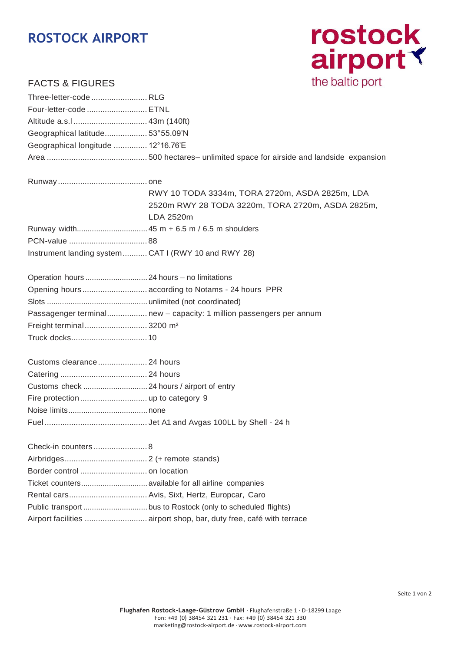# **ROSTOCK AIRPORT**



## FACTS & FIGURES

| Three-letter-code  RLG                               |                                                                     |
|------------------------------------------------------|---------------------------------------------------------------------|
| Four-letter-code  ETNL                               |                                                                     |
|                                                      |                                                                     |
| Geographical latitude 53°55.09'N                     |                                                                     |
| Geographical longitude  12°16.76'E                   |                                                                     |
|                                                      |                                                                     |
|                                                      |                                                                     |
|                                                      | RWY 10 TODA 3334m, TORA 2720m, ASDA 2825m, LDA                      |
|                                                      | 2520m RWY 28 TODA 3220m, TORA 2720m, ASDA 2825m,                    |
|                                                      | LDA 2520m                                                           |
|                                                      |                                                                     |
|                                                      |                                                                     |
| Instrument landing system  CAT I (RWY 10 and RWY 28) |                                                                     |
|                                                      |                                                                     |
|                                                      | Opening hours  according to Notams - 24 hours PPR                   |
|                                                      |                                                                     |
|                                                      | Passagenger terminal new - capacity: 1 million passengers per annum |
| Freight terminal 3200 m <sup>2</sup>                 |                                                                     |
|                                                      |                                                                     |
| Customs clearance 24 hours                           |                                                                     |
|                                                      |                                                                     |
|                                                      |                                                                     |
|                                                      |                                                                     |
|                                                      |                                                                     |
|                                                      |                                                                     |
|                                                      |                                                                     |
|                                                      |                                                                     |
|                                                      |                                                                     |
|                                                      |                                                                     |
|                                                      |                                                                     |
|                                                      |                                                                     |
|                                                      | Airport facilities  airport shop, bar, duty free, café with terrace |